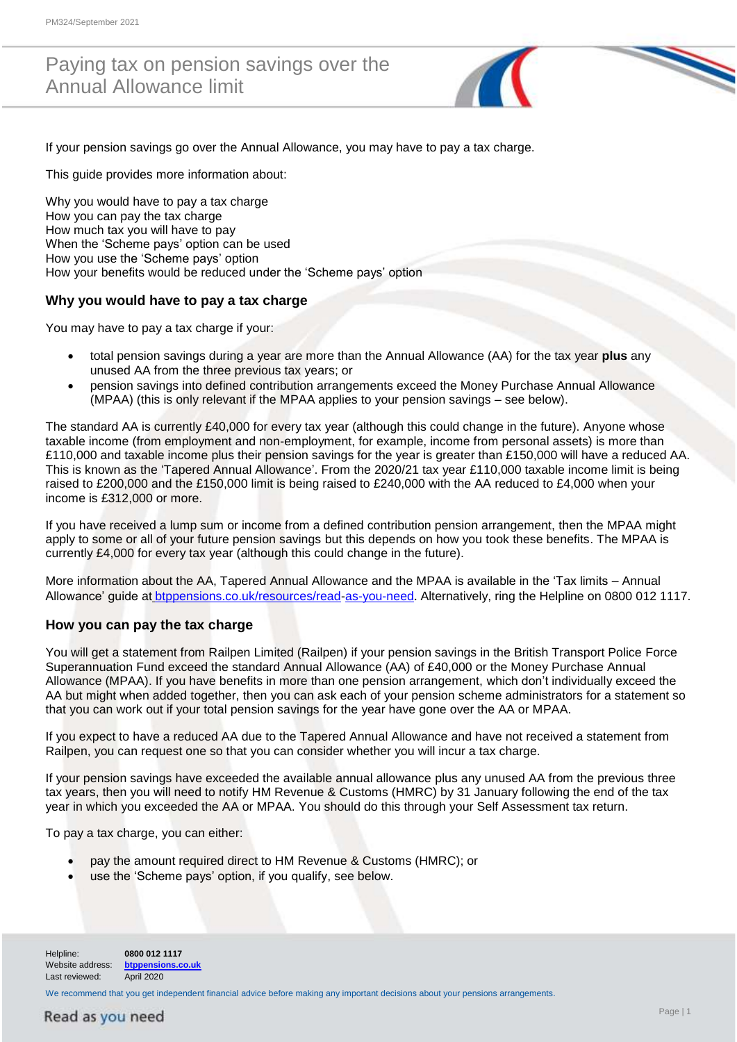## Paying tax on pension savings over the Annual Allowance limit



If your pension savings go over the Annual Allowance, you may have to pay a tax charge.

This guide provides more information about:

Why you would have to pay a tax charge How you can pay the tax charge How much tax you will have to pay When the 'Scheme pays' option can be used How you use the 'Scheme pays' option How your benefits would be reduced under the 'Scheme pays' option

### **Why you would have to pay a tax charge**

You may have to pay a tax charge if your:

- total pension savings during a year are more than the Annual Allowance (AA) for the tax year **plus** any unused AA from the three previous tax years; or
- pension savings into defined contribution arrangements exceed the Money Purchase Annual Allowance (MPAA) (this is only relevant if the MPAA applies to your pension savings – see below).

The standard AA is currently £40,000 for every tax year (although this could change in the future). Anyone whose taxable income (from employment and non-employment, for example, income from personal assets) is more than £110,000 and taxable income plus their pension savings for the year is greater than £150,000 will have a reduced AA. This is known as the 'Tapered Annual Allowance'. From the 2020/21 tax year £110,000 taxable income limit is being raised to £200,000 and the £150,000 limit is being raised to £240,000 with the AA reduced to £4,000 when your income is £312,000 or more.

If you have received a lump sum or income from a defined contribution pension arrangement, then the MPAA might apply to some or all of your future pension savings but this depends on how you took these benefits. The MPAA is currently £4,000 for every tax year (although this could change in the future).

More information about the AA, Tapered Annual Allowance and the MPAA is available in the 'Tax limits – Annual Allowance' guide at [btppensions.co.uk/resources/read-](http://btppensions.co.uk/resources/read)as-you-need. Alternatively, ring the Helpline on 0800 012 1117.

#### **How you can pay the tax charge**

You will get a statement from Railpen Limited (Railpen) if your pension savings in the British Transport Police Force Superannuation Fund exceed the standard Annual Allowance (AA) of £40,000 or the Money Purchase Annual Allowance (MPAA). If you have benefits in more than one pension arrangement, which don't individually exceed the AA but might when added together, then you can ask each of your pension scheme administrators for a statement so that you can work out if your total pension savings for the year have gone over the AA or MPAA.

If you expect to have a reduced AA due to the Tapered Annual Allowance and have not received a statement from Railpen, you can request one so that you can consider whether you will incur a tax charge.

If your pension savings have exceeded the available annual allowance plus any unused AA from the previous three tax years, then you will need to notify HM Revenue & Customs (HMRC) by 31 January following the end of the tax year in which you exceeded the AA or MPAA. You should do this through your Self Assessment tax return.

To pay a tax charge, you can either:

- pay the amount required direct to HM Revenue & Customs (HMRC); or
- use the 'Scheme pays' option, if you qualify, see below.

Helpline: **0800 012 1117**  Website address: **[btppensions.co.uk](http://btppensions.co.uk/)** Last reviewed: April 2020

We recommend that you get independent financial advice before making any important decisions about your pensions arrangements.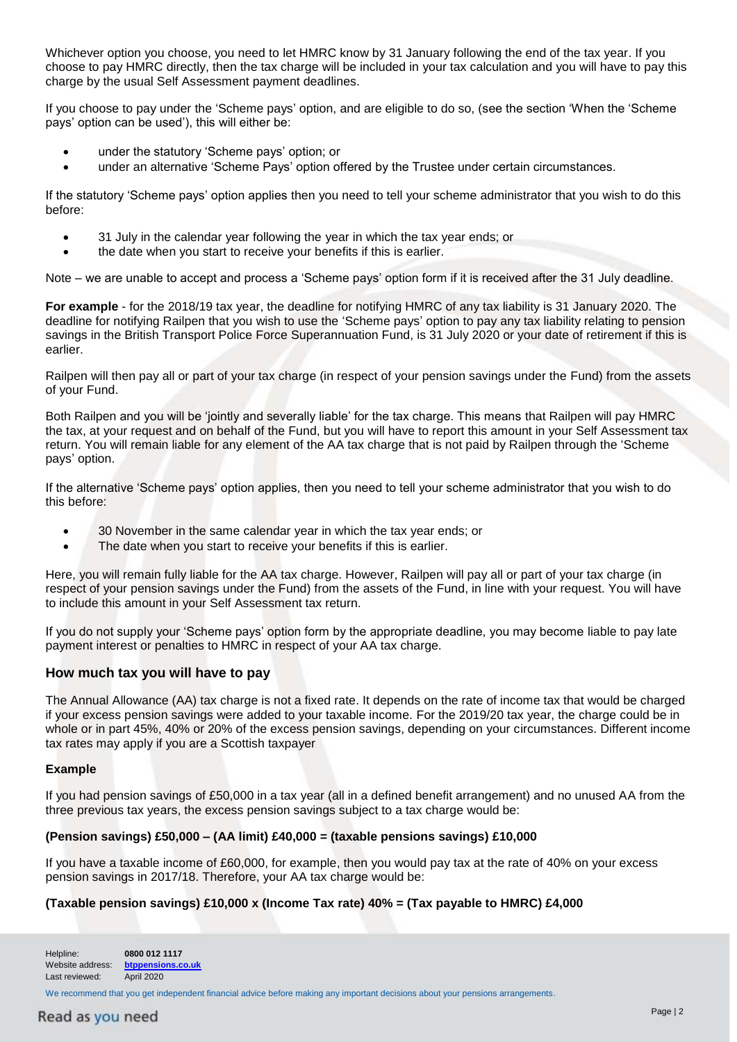Whichever option you choose, you need to let HMRC know by 31 January following the end of the tax year. If you choose to pay HMRC directly, then the tax charge will be included in your tax calculation and you will have to pay this charge by the usual Self Assessment payment deadlines.

If you choose to pay under the 'Scheme pays' option, and are eligible to do so, (see the section 'When the 'Scheme pays' option can be used'), this will either be:

- under the statutory 'Scheme pays' option; or
- under an alternative 'Scheme Pays' option offered by the Trustee under certain circumstances.

If the statutory 'Scheme pays' option applies then you need to tell your scheme administrator that you wish to do this before:

- 31 July in the calendar year following the year in which the tax year ends; or
- the date when you start to receive your benefits if this is earlier.

Note – we are unable to accept and process a 'Scheme pays' option form if it is received after the 31 July deadline.

**For example** - for the 2018/19 tax year, the deadline for notifying HMRC of any tax liability is 31 January 2020. The deadline for notifying Railpen that you wish to use the 'Scheme pays' option to pay any tax liability relating to pension savings in the British Transport Police Force Superannuation Fund, is 31 July 2020 or your date of retirement if this is earlier.

Railpen will then pay all or part of your tax charge (in respect of your pension savings under the Fund) from the assets of your Fund.

Both Railpen and you will be 'jointly and severally liable' for the tax charge. This means that Railpen will pay HMRC the tax, at your request and on behalf of the Fund, but you will have to report this amount in your Self Assessment tax return. You will remain liable for any element of the AA tax charge that is not paid by Railpen through the 'Scheme pays' option.

If the alternative 'Scheme pays' option applies, then you need to tell your scheme administrator that you wish to do this before:

- 30 November in the same calendar year in which the tax year ends; or
- The date when you start to receive your benefits if this is earlier.

Here, you will remain fully liable for the AA tax charge. However, Railpen will pay all or part of your tax charge (in respect of your pension savings under the Fund) from the assets of the Fund, in line with your request. You will have to include this amount in your Self Assessment tax return.

If you do not supply your 'Scheme pays' option form by the appropriate deadline, you may become liable to pay late payment interest or penalties to HMRC in respect of your AA tax charge.

#### **How much tax you will have to pay**

The Annual Allowance (AA) tax charge is not a fixed rate. It depends on the rate of income tax that would be charged if your excess pension savings were added to your taxable income. For the 2019/20 tax year, the charge could be in whole or in part 45%, 40% or 20% of the excess pension savings, depending on your circumstances. Different income tax rates may apply if you are a Scottish taxpayer

#### **Example**

If you had pension savings of £50,000 in a tax year (all in a defined benefit arrangement) and no unused AA from the three previous tax years, the excess pension savings subject to a tax charge would be:

#### **(Pension savings) £50,000 – (AA limit) £40,000 = (taxable pensions savings) £10,000**

If you have a taxable income of £60,000, for example, then you would pay tax at the rate of 40% on your excess pension savings in 2017/18. Therefore, your AA tax charge would be:

#### **(Taxable pension savings) £10,000 x (Income Tax rate) 40% = (Tax payable to HMRC) £4,000**

Helpline: **0800 012 1117**  Website address: **[btppensions.co.uk](http://www.btppensions.co.uk/)** Last reviewed: April 2020

We recommend that you get independent financial advice before making any important decisions about your pensions arrangements.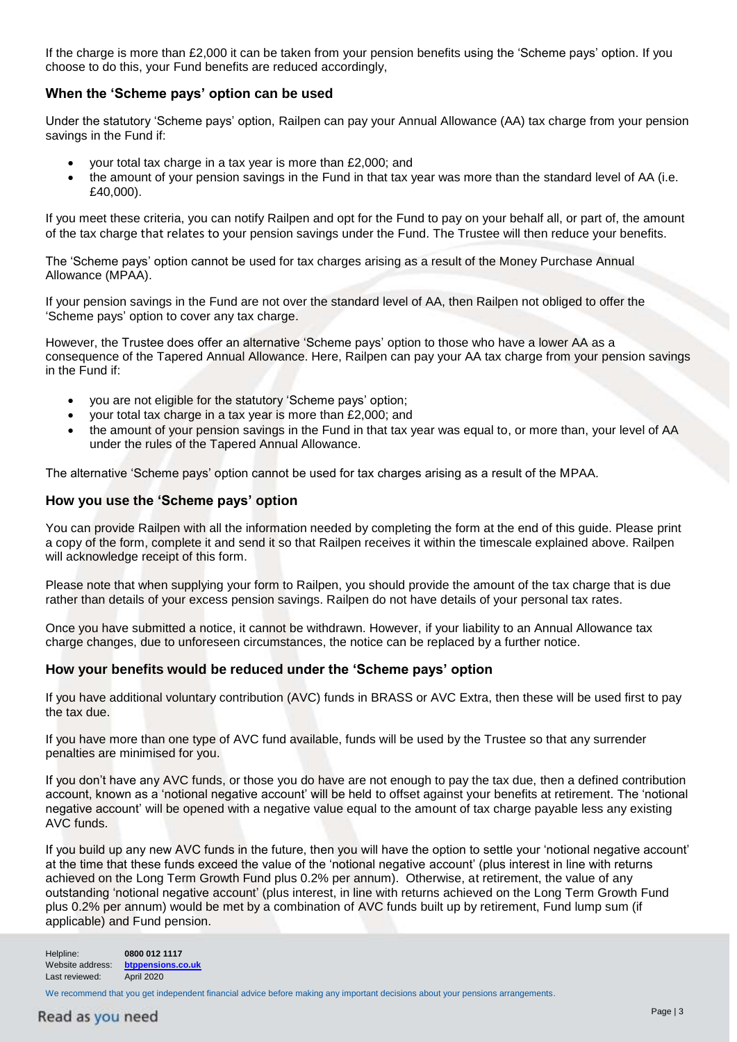If the charge is more than £2,000 it can be taken from your pension benefits using the 'Scheme pays' option. If you choose to do this, your Fund benefits are reduced accordingly,

#### **When the 'Scheme pays' option can be used**

Under the statutory 'Scheme pays' option, Railpen can pay your Annual Allowance (AA) tax charge from your pension savings in the Fund if:

- your total tax charge in a tax year is more than £2,000; and
- the amount of your pension savings in the Fund in that tax year was more than the standard level of AA (i.e. £40,000).

If you meet these criteria, you can notify Railpen and opt for the Fund to pay on your behalf all, or part of, the amount of the tax charge that relates to your pension savings under the Fund. The Trustee will then reduce your benefits.

The 'Scheme pays' option cannot be used for tax charges arising as a result of the Money Purchase Annual Allowance (MPAA).

If your pension savings in the Fund are not over the standard level of AA, then Railpen not obliged to offer the 'Scheme pays' option to cover any tax charge.

However, the Trustee does offer an alternative 'Scheme pays' option to those who have a lower AA as a consequence of the Tapered Annual Allowance. Here, Railpen can pay your AA tax charge from your pension savings in the Fund if:

- you are not eligible for the statutory 'Scheme pays' option;
- your total tax charge in a tax year is more than £2,000; and
- the amount of your pension savings in the Fund in that tax year was equal to, or more than, your level of AA under the rules of the Tapered Annual Allowance.

The alternative 'Scheme pays' option cannot be used for tax charges arising as a result of the MPAA.

#### **How you use the 'Scheme pays' option**

You can provide Railpen with all the information needed by completing the form at the end of this guide. Please print a copy of the form, complete it and send it so that Railpen receives it within the timescale explained above. Railpen will acknowledge receipt of this form.

Please note that when supplying your form to Railpen, you should provide the amount of the tax charge that is due rather than details of your excess pension savings. Railpen do not have details of your personal tax rates.

Once you have submitted a notice, it cannot be withdrawn. However, if your liability to an Annual Allowance tax charge changes, due to unforeseen circumstances, the notice can be replaced by a further notice.

#### **How your benefits would be reduced under the 'Scheme pays' option**

If you have additional voluntary contribution (AVC) funds in BRASS or AVC Extra, then these will be used first to pay the tax due.

If you have more than one type of AVC fund available, funds will be used by the Trustee so that any surrender penalties are minimised for you.

If you don't have any AVC funds, or those you do have are not enough to pay the tax due, then a defined contribution account, known as a 'notional negative account' will be held to offset against your benefits at retirement. The 'notional negative account' will be opened with a negative value equal to the amount of tax charge payable less any existing AVC funds.

If you build up any new AVC funds in the future, then you will have the option to settle your 'notional negative account' at the time that these funds exceed the value of the 'notional negative account' (plus interest in line with returns achieved on the Long Term Growth Fund plus 0.2% per annum). Otherwise, at retirement, the value of any outstanding 'notional negative account' (plus interest, in line with returns achieved on the Long Term Growth Fund plus 0.2% per annum) would be met by a combination of AVC funds built up by retirement, Fund lump sum (if applicable) and Fund pension.

Helpline: **0800 012 1117**  Website address: **[btppensions.co.uk](http://www.btppensions.co.uk/)** Last reviewed: April 2020

We recommend that you get independent financial advice before making any important decisions about your pensions arrangements.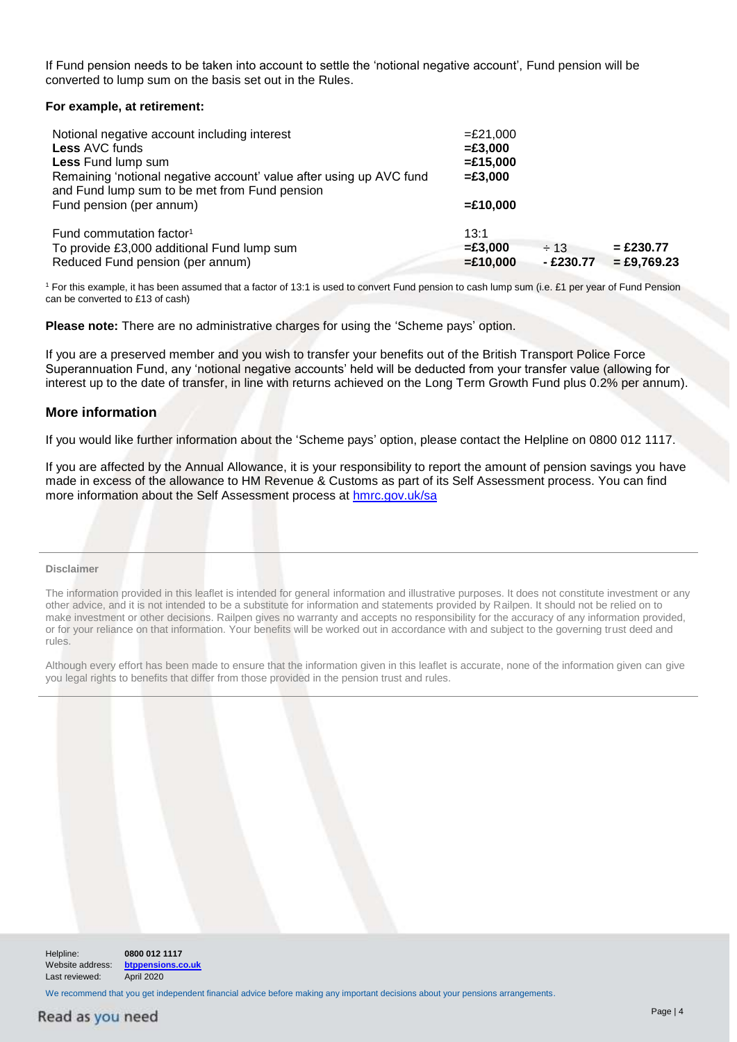If Fund pension needs to be taken into account to settle the 'notional negative account', Fund pension will be converted to lump sum on the basis set out in the Rules.

#### **For example, at retirement:**

| Notional negative account including interest<br><b>Less AVC funds</b><br>Less Fund lump sum<br>Remaining 'notional negative account' value after using up AVC fund<br>and Fund lump sum to be met from Fund pension | $=£21,000$<br>$= £3,000$<br>$=£15,000$<br>$= £3,000$ |                        |                              |  |
|---------------------------------------------------------------------------------------------------------------------------------------------------------------------------------------------------------------------|------------------------------------------------------|------------------------|------------------------------|--|
| Fund pension (per annum)                                                                                                                                                                                            | $=£10,000$                                           |                        |                              |  |
| Fund commutation factor <sup>1</sup><br>To provide £3,000 additional Fund lump sum<br>Reduced Fund pension (per annum)                                                                                              | 13:1<br>$= £3.000$<br>$=£10,000$                     | $\div$ 13<br>- £230.77 | $= £230.77$<br>$=$ £9,769.23 |  |

<sup>1</sup> For this example, it has been assumed that a factor of 13:1 is used to convert Fund pension to cash lump sum (i.e. £1 per year of Fund Pension can be converted to £13 of cash)

**Please note:** There are no administrative charges for using the 'Scheme pays' option.

If you are a preserved member and you wish to transfer your benefits out of the British Transport Police Force Superannuation Fund, any 'notional negative accounts' held will be deducted from your transfer value (allowing for interest up to the date of transfer, in line with returns achieved on the Long Term Growth Fund plus 0.2% per annum).

#### **More information**

If you would like further information about the 'Scheme pays' option, please contact the Helpline on 0800 012 1117.

If you are affected by the Annual Allowance, it is your responsibility to report the amount of pension savings you have made in excess of the allowance to HM Revenue & Customs as part of its Self Assessment process. You can find more information about the Self Assessment process at [hmrc.gov.uk/sa](http://hmrc.gov.uk/sa)

#### **Disclaimer**

The information provided in this leaflet is intended for general information and illustrative purposes. It does not constitute investment or any other advice, and it is not intended to be a substitute for information and statements provided by Railpen. It should not be relied on to make investment or other decisions. Railpen gives no warranty and accepts no responsibility for the accuracy of any information provided, or for your reliance on that information. Your benefits will be worked out in accordance with and subject to the governing trust deed and rules.

Although every effort has been made to ensure that the information given in this leaflet is accurate, none of the information given can give you legal rights to benefits that differ from those provided in the pension trust and rules.

| Helpline:<br>Website address:<br>Last reviewed: | 0800 012 1117<br>btppensions.co.uk<br>April 2020 |  |  |
|-------------------------------------------------|--------------------------------------------------|--|--|

We recommend that you get independent financial advice before making any important decisions about your pensions arrangements.